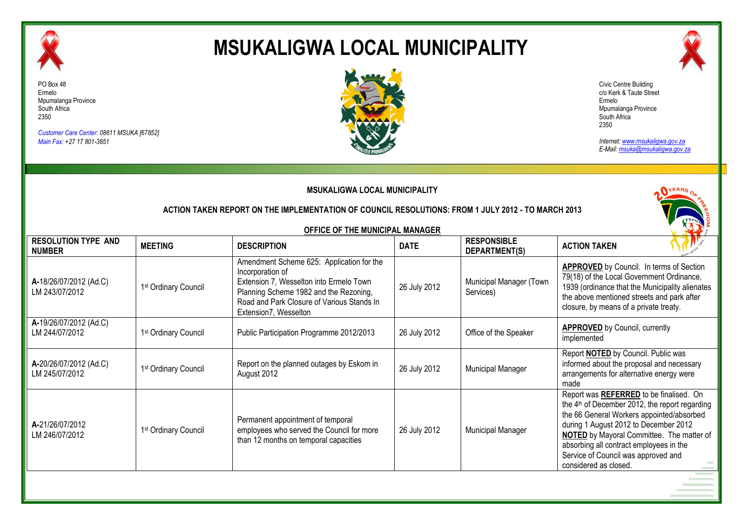

## **MSUKALIGWA LOCAL MUNICIPALITY**



PO Box 48 Ermelo Mpumalanga Province South Africa 2350

*Customer Care Center: 08611 MSUKA [67852] Main Fax: +27 17 801-3851*



Civic Centre Building c/o Kerk & Taute Street Ermelo Mpumalanga Province South Africa 2350

*Internet: www.msukaligwa.gov.za E-Mail: msuka@msukaligwa.gov.za*

|                                             |                                  | <b>MSUKALIGWA LOCAL MUNICIPALITY</b><br>ACTION TAKEN REPORT ON THE IMPLEMENTATION OF COUNCIL RESOLUTIONS: FROM 1 JULY 2012 - TO MARCH 2013                                                                                |              |                                      |                                                                                                                                                                                                                                                                                                                                                            |
|---------------------------------------------|----------------------------------|---------------------------------------------------------------------------------------------------------------------------------------------------------------------------------------------------------------------------|--------------|--------------------------------------|------------------------------------------------------------------------------------------------------------------------------------------------------------------------------------------------------------------------------------------------------------------------------------------------------------------------------------------------------------|
|                                             |                                  | OFFICE OF THE MUNICIPAL MANAGER                                                                                                                                                                                           |              |                                      |                                                                                                                                                                                                                                                                                                                                                            |
| <b>RESOLUTION TYPE AND</b><br><b>NUMBER</b> | <b>MEETING</b>                   | <b>DESCRIPTION</b>                                                                                                                                                                                                        | <b>DATE</b>  | <b>RESPONSIBLE</b><br>DEPARTMENT(S)  | <b>ACTION TAKEN</b>                                                                                                                                                                                                                                                                                                                                        |
| A-18/26/07/2012 (Ad.C)<br>LM 243/07/2012    | 1 <sup>st</sup> Ordinary Council | Amendment Scheme 625: Application for the<br>Incorporation of<br>Extension 7, Wesselton into Ermelo Town<br>Planning Scheme 1982 and the Rezoning,<br>Road and Park Closure of Various Stands In<br>Extension7, Wesselton | 26 July 2012 | Municipal Manager (Town<br>Services) | <b>APPROVED</b> by Council. In terms of Section<br>79(18) of the Local Government Ordinance,<br>1939 (ordinance that the Municipality alienates<br>the above mentioned streets and park after<br>closure, by means of a private treaty.                                                                                                                    |
| A-19/26/07/2012 (Ad.C)<br>LM 244/07/2012    | 1st Ordinary Council             | Public Participation Programme 2012/2013                                                                                                                                                                                  | 26 July 2012 | Office of the Speaker                | <b>APPROVED</b> by Council, currently<br>implemented                                                                                                                                                                                                                                                                                                       |
| A-20/26/07/2012 (Ad.C)<br>LM 245/07/2012    | 1 <sup>st</sup> Ordinary Council | Report on the planned outages by Eskom in<br>August 2012                                                                                                                                                                  | 26 July 2012 | Municipal Manager                    | Report NOTED by Council. Public was<br>informed about the proposal and necessary<br>arrangements for alternative energy were<br>made                                                                                                                                                                                                                       |
| A-21/26/07/2012<br>LM 246/07/2012           | 1 <sup>st</sup> Ordinary Council | Permanent appointment of temporal<br>employees who served the Council for more<br>than 12 months on temporal capacities                                                                                                   | 26 July 2012 | <b>Municipal Manager</b>             | Report was REFERRED to be finalised. On<br>the 4 <sup>th</sup> of December 2012, the report regarding<br>the 66 General Workers appointed/absorbed<br>during 1 August 2012 to December 2012<br><b>NOTED</b> by Mayoral Committee. The matter of<br>absorbing all contract employees in the<br>Service of Council was approved and<br>considered as closed. |
|                                             |                                  |                                                                                                                                                                                                                           |              |                                      |                                                                                                                                                                                                                                                                                                                                                            |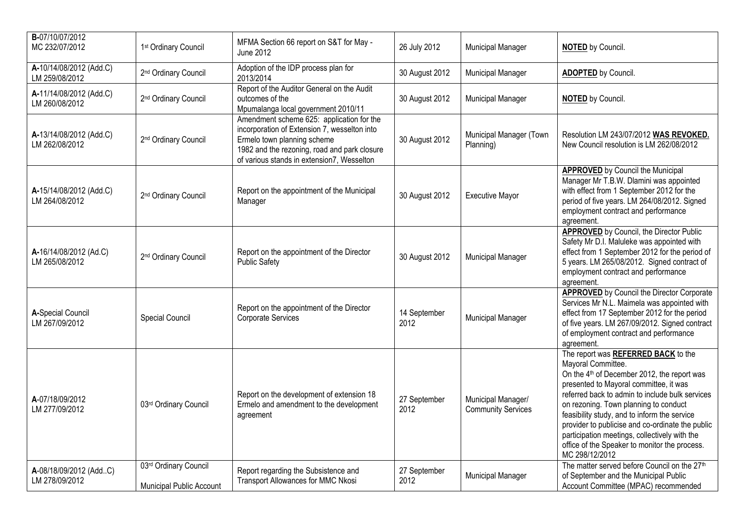| B-07/10/07/2012<br>MC 232/07/2012         | 1st Ordinary Council                              | MFMA Section 66 report on S&T for May -<br><b>June 2012</b>                                                                                                                                                            | 26 July 2012         | <b>Municipal Manager</b>                        | <b>NOTED</b> by Council.                                                                                                                                                                                                                                                                                                                                                                                                                                                           |
|-------------------------------------------|---------------------------------------------------|------------------------------------------------------------------------------------------------------------------------------------------------------------------------------------------------------------------------|----------------------|-------------------------------------------------|------------------------------------------------------------------------------------------------------------------------------------------------------------------------------------------------------------------------------------------------------------------------------------------------------------------------------------------------------------------------------------------------------------------------------------------------------------------------------------|
| A-10/14/08/2012 (Add.C)<br>LM 259/08/2012 | 2 <sup>nd</sup> Ordinary Council                  | Adoption of the IDP process plan for<br>2013/2014                                                                                                                                                                      | 30 August 2012       | Municipal Manager                               | <b>ADOPTED</b> by Council.                                                                                                                                                                                                                                                                                                                                                                                                                                                         |
| A-11/14/08/2012 (Add.C)<br>LM 260/08/2012 | 2 <sup>nd</sup> Ordinary Council                  | Report of the Auditor General on the Audit<br>outcomes of the<br>Mpumalanga local government 2010/11                                                                                                                   | 30 August 2012       | <b>Municipal Manager</b>                        | <b>NOTED</b> by Council.                                                                                                                                                                                                                                                                                                                                                                                                                                                           |
| A-13/14/08/2012 (Add.C)<br>LM 262/08/2012 | 2 <sup>nd</sup> Ordinary Council                  | Amendment scheme 625: application for the<br>incorporation of Extension 7, wesselton into<br>Ermelo town planning scheme<br>1982 and the rezoning, road and park closure<br>of various stands in extension7, Wesselton | 30 August 2012       | Municipal Manager (Town<br>Planning)            | Resolution LM 243/07/2012 WAS REVOKED.<br>New Council resolution is LM 262/08/2012                                                                                                                                                                                                                                                                                                                                                                                                 |
| A-15/14/08/2012 (Add.C)<br>LM 264/08/2012 | 2 <sup>nd</sup> Ordinary Council                  | Report on the appointment of the Municipal<br>Manager                                                                                                                                                                  | 30 August 2012       | <b>Executive Mayor</b>                          | <b>APPROVED</b> by Council the Municipal<br>Manager Mr T.B.W. Dlamini was appointed<br>with effect from 1 September 2012 for the<br>period of five years. LM 264/08/2012. Signed<br>employment contract and performance<br>agreement.                                                                                                                                                                                                                                              |
| A-16/14/08/2012 (Ad.C)<br>LM 265/08/2012  | 2 <sup>nd</sup> Ordinary Council                  | Report on the appointment of the Director<br><b>Public Safety</b>                                                                                                                                                      | 30 August 2012       | <b>Municipal Manager</b>                        | <b>APPROVED</b> by Council, the Director Public<br>Safety Mr D.I. Maluleke was appointed with<br>effect from 1 September 2012 for the period of<br>5 years. LM 265/08/2012. Signed contract of<br>employment contract and performance<br>agreement.                                                                                                                                                                                                                                |
| A-Special Council<br>LM 267/09/2012       | Special Council                                   | Report on the appointment of the Director<br>Corporate Services                                                                                                                                                        | 14 September<br>2012 | <b>Municipal Manager</b>                        | <b>APPROVED</b> by Council the Director Corporate<br>Services Mr N.L. Maimela was appointed with<br>effect from 17 September 2012 for the period<br>of five years. LM 267/09/2012. Signed contract<br>of employment contract and performance<br>agreement.                                                                                                                                                                                                                         |
| A-07/18/09/2012<br>LM 277/09/2012         | 03rd Ordinary Council                             | Report on the development of extension 18<br>Ermelo and amendment to the development<br>agreement                                                                                                                      | 27 September<br>2012 | Municipal Manager/<br><b>Community Services</b> | The report was REFERRED BACK to the<br>Mayoral Committee.<br>On the 4 <sup>th</sup> of December 2012, the report was<br>presented to Mayoral committee, it was<br>referred back to admin to include bulk services<br>on rezoning. Town planning to conduct<br>feasibility study, and to inform the service<br>provider to publicise and co-ordinate the public<br>participation meetings, collectively with the<br>office of the Speaker to monitor the process.<br>MC 298/12/2012 |
| A-08/18/09/2012 (AddC)<br>LM 278/09/2012  | 03rd Ordinary Council<br>Municipal Public Account | Report regarding the Subsistence and<br><b>Transport Allowances for MMC Nkosi</b>                                                                                                                                      | 27 September<br>2012 | <b>Municipal Manager</b>                        | The matter served before Council on the 27 <sup>th</sup><br>of September and the Municipal Public<br>Account Committee (MPAC) recommended                                                                                                                                                                                                                                                                                                                                          |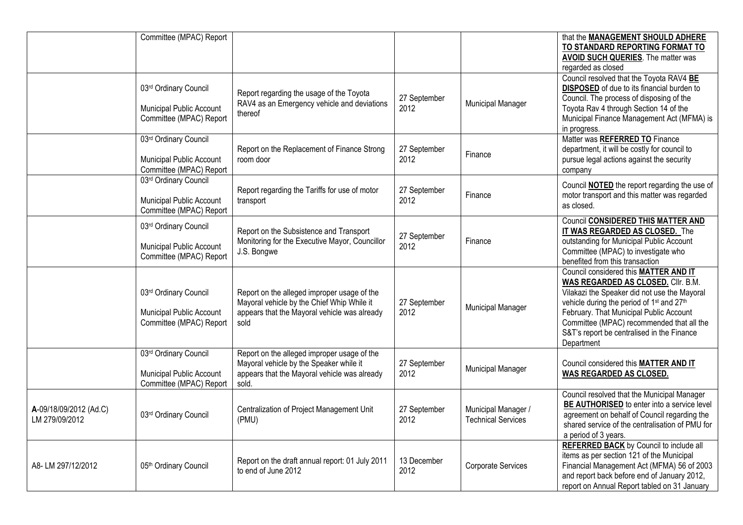|                                          | Committee (MPAC) Report                                                             |                                                                                                                                                   |                      |                                                  | that the MANAGEMENT SHOULD ADHERE<br>TO STANDARD REPORTING FORMAT TO<br>AVOID SUCH QUERIES. The matter was<br>regarded as closed                                                                                                                                                                                                                     |
|------------------------------------------|-------------------------------------------------------------------------------------|---------------------------------------------------------------------------------------------------------------------------------------------------|----------------------|--------------------------------------------------|------------------------------------------------------------------------------------------------------------------------------------------------------------------------------------------------------------------------------------------------------------------------------------------------------------------------------------------------------|
|                                          | 03rd Ordinary Council<br>Municipal Public Account<br>Committee (MPAC) Report        | Report regarding the usage of the Toyota<br>RAV4 as an Emergency vehicle and deviations<br>thereof                                                | 27 September<br>2012 | Municipal Manager                                | Council resolved that the Toyota RAV4 BE<br><b>DISPOSED</b> of due to its financial burden to<br>Council. The process of disposing of the<br>Toyota Rav 4 through Section 14 of the<br>Municipal Finance Management Act (MFMA) is<br>in progress.                                                                                                    |
|                                          | 03rd Ordinary Council<br><b>Municipal Public Account</b><br>Committee (MPAC) Report | Report on the Replacement of Finance Strong<br>room door                                                                                          | 27 September<br>2012 | Finance                                          | Matter was REFERRED TO Finance<br>department, it will be costly for council to<br>pursue legal actions against the security<br>company                                                                                                                                                                                                               |
|                                          | 03rd Ordinary Council<br><b>Municipal Public Account</b><br>Committee (MPAC) Report | Report regarding the Tariffs for use of motor<br>transport                                                                                        | 27 September<br>2012 | Finance                                          | Council <b>NOTED</b> the report regarding the use of<br>motor transport and this matter was regarded<br>as closed.                                                                                                                                                                                                                                   |
|                                          | 03rd Ordinary Council<br>Municipal Public Account<br>Committee (MPAC) Report        | Report on the Subsistence and Transport<br>Monitoring for the Executive Mayor, Councillor<br>J.S. Bongwe                                          | 27 September<br>2012 | Finance                                          | <b>Council CONSIDERED THIS MATTER AND</b><br>IT WAS REGARDED AS CLOSED. The<br>outstanding for Municipal Public Account<br>Committee (MPAC) to investigate who<br>benefited from this transaction                                                                                                                                                    |
|                                          | 03rd Ordinary Council<br><b>Municipal Public Account</b><br>Committee (MPAC) Report | Report on the alleged improper usage of the<br>Mayoral vehicle by the Chief Whip While it<br>appears that the Mayoral vehicle was already<br>sold | 27 September<br>2012 | Municipal Manager                                | Council considered this MATTER AND IT<br>WAS REGARDED AS CLOSED. Cllr. B.M.<br>Vilakazi the Speaker did not use the Mayoral<br>vehicle during the period of 1 <sup>st</sup> and 27 <sup>th</sup><br>February. That Municipal Public Account<br>Committee (MPAC) recommended that all the<br>S&T's report be centralised in the Finance<br>Department |
|                                          | 03rd Ordinary Council<br>Municipal Public Account<br>Committee (MPAC) Report        | Report on the alleged improper usage of the<br>Mayoral vehicle by the Speaker while it<br>appears that the Mayoral vehicle was already<br>sold.   | 27 September<br>2012 | Municipal Manager                                | Council considered this MATTER AND IT<br>WAS REGARDED AS CLOSED.                                                                                                                                                                                                                                                                                     |
| A-09/18/09/2012 (Ad.C)<br>LM 279/09/2012 | 03rd Ordinary Council                                                               | Centralization of Project Management Unit<br>(PMU)                                                                                                | 27 September<br>2012 | Municipal Manager /<br><b>Technical Services</b> | Council resolved that the Municipal Manager<br>BE AUTHORISED to enter into a service level<br>agreement on behalf of Council regarding the<br>shared service of the centralisation of PMU for<br>a period of 3 years.                                                                                                                                |
| A8-LM 297/12/2012                        | 05th Ordinary Council                                                               | Report on the draft annual report: 01 July 2011<br>to end of June 2012                                                                            | 13 December<br>2012  | Corporate Services                               | <b>REFERRED BACK</b> by Council to include all<br>items as per section 121 of the Municipal<br>Financial Management Act (MFMA) 56 of 2003<br>and report back before end of January 2012,<br>report on Annual Report tabled on 31 January                                                                                                             |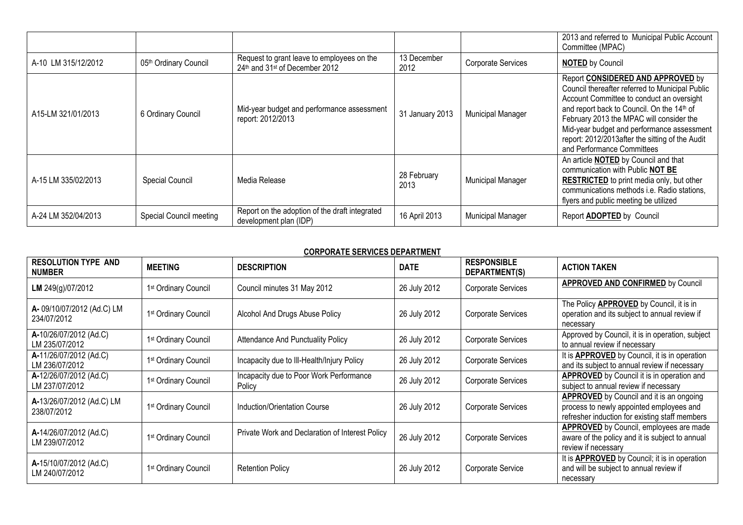|                     |                         |                                                                              |                     |                           | 2013 and referred to Municipal Public Account<br>Committee (MPAC)                                                                                                                                                                                                                                                                                          |
|---------------------|-------------------------|------------------------------------------------------------------------------|---------------------|---------------------------|------------------------------------------------------------------------------------------------------------------------------------------------------------------------------------------------------------------------------------------------------------------------------------------------------------------------------------------------------------|
| A-10 LM 315/12/2012 | 05th Ordinary Council   | Request to grant leave to employees on the<br>24th and 31st of December 2012 | 13 December<br>2012 | <b>Corporate Services</b> | <b>NOTED by Council</b>                                                                                                                                                                                                                                                                                                                                    |
| A15-LM 321/01/2013  | 6 Ordinary Council      | Mid-year budget and performance assessment<br>report: 2012/2013              | 31 January 2013     | <b>Municipal Manager</b>  | Report CONSIDERED AND APPROVED by<br>Council thereafter referred to Municipal Public<br>Account Committee to conduct an oversight<br>and report back to Council. On the 14th of<br>February 2013 the MPAC will consider the<br>Mid-year budget and performance assessment<br>report: 2012/2013after the sitting of the Audit<br>and Performance Committees |
| A-15 LM 335/02/2013 | <b>Special Council</b>  | Media Release                                                                | 28 February<br>2013 | <b>Municipal Manager</b>  | An article <b>NOTED</b> by Council and that<br>communication with Public NOT BE<br><b>RESTRICTED</b> to print media only, but other<br>communications methods i.e. Radio stations,<br>flyers and public meeting be utilized                                                                                                                                |
| A-24 LM 352/04/2013 | Special Council meeting | Report on the adoption of the draft integrated<br>development plan (IDP)     | 16 April 2013       | <b>Municipal Manager</b>  | Report ADOPTED by Council                                                                                                                                                                                                                                                                                                                                  |

## **CORPORATE SERVICES DEPARTMENT**

| <b>RESOLUTION TYPE AND</b><br><b>NUMBER</b> | <b>MEETING</b>                   | <b>DESCRIPTION</b>                                | <b>DATE</b>  | <b>RESPONSIBLE</b><br>DEPARTMENT(S) | <b>ACTION TAKEN</b>                                                                                                                           |
|---------------------------------------------|----------------------------------|---------------------------------------------------|--------------|-------------------------------------|-----------------------------------------------------------------------------------------------------------------------------------------------|
| LM 249(g)/07/2012                           | 1st Ordinary Council             | Council minutes 31 May 2012                       | 26 July 2012 | Corporate Services                  | <b>APPROVED AND CONFIRMED by Council</b>                                                                                                      |
| A-09/10/07/2012 (Ad.C) LM<br>234/07/2012    | 1 <sup>st</sup> Ordinary Council | Alcohol And Drugs Abuse Policy                    | 26 July 2012 | Corporate Services                  | The Policy APPROVED by Council, it is in<br>operation and its subject to annual review if<br>necessary                                        |
| A-10/26/07/2012 (Ad.C)<br>LM 235/07/2012    | 1 <sup>st</sup> Ordinary Council | <b>Attendance And Punctuality Policy</b>          | 26 July 2012 | Corporate Services                  | Approved by Council, it is in operation, subject<br>to annual review if necessary                                                             |
| A-11/26/07/2012 (Ad.C)<br>LM 236/07/2012    | 1 <sup>st</sup> Ordinary Council | Incapacity due to III-Health/Injury Policy        | 26 July 2012 | Corporate Services                  | It is <b>APPROVED</b> by Council, it is in operation<br>and its subject to annual review if necessary                                         |
| A-12/26/07/2012 (Ad.C)<br>LM 237/07/2012    | 1 <sup>st</sup> Ordinary Council | Incapacity due to Poor Work Performance<br>Policy | 26 July 2012 | Corporate Services                  | <b>APPROVED</b> by Council it is in operation and<br>subject to annual review if necessary                                                    |
| A-13/26/07/2012 (Ad.C) LM<br>238/07/2012    | 1 <sup>st</sup> Ordinary Council | Induction/Orientation Course                      | 26 July 2012 | Corporate Services                  | <b>APPROVED</b> by Council and it is an ongoing<br>process to newly appointed employees and<br>refresher induction for existing staff members |
| A-14/26/07/2012 (Ad.C)<br>LM 239/07/2012    | 1 <sup>st</sup> Ordinary Council | Private Work and Declaration of Interest Policy   | 26 July 2012 | Corporate Services                  | APPROVED by Council, employees are made<br>aware of the policy and it is subject to annual<br>review if necessary                             |
| A-15/10/07/2012 (Ad.C)<br>LM 240/07/2012    | 1 <sup>st</sup> Ordinary Council | <b>Retention Policy</b>                           | 26 July 2012 | Corporate Service                   | It is <b>APPROVED</b> by Council; it is in operation<br>and will be subject to annual review if<br>necessary                                  |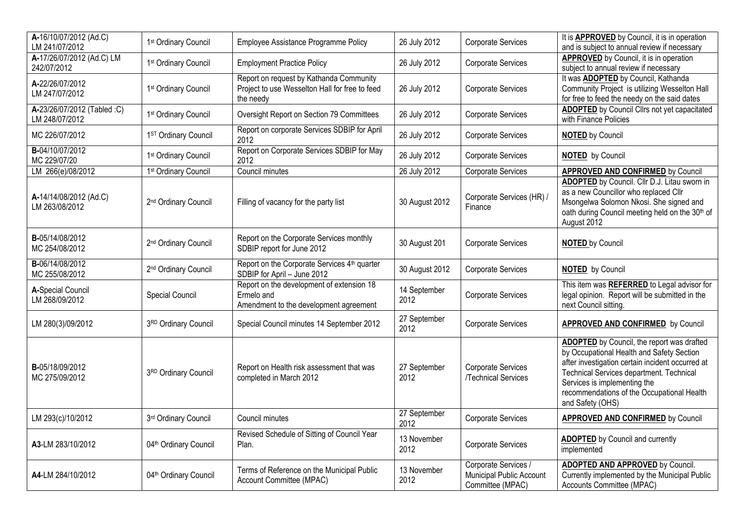| A-16/10/07/2012 (Ad.C)                                     | 1 <sup>st</sup> Ordinary Council  | Employee Assistance Programme Policy                                                                   | 26 July 2012         | Corporate Services                                                          | It is <b>APPROVED</b> by Council, it is in operation                                                                                                                                                                                                                                             |
|------------------------------------------------------------|-----------------------------------|--------------------------------------------------------------------------------------------------------|----------------------|-----------------------------------------------------------------------------|--------------------------------------------------------------------------------------------------------------------------------------------------------------------------------------------------------------------------------------------------------------------------------------------------|
| LM 241/07/2012<br>A-17/26/07/2012 (Ad.C) LM<br>242/07/2012 | 1st Ordinary Council              | <b>Employment Practice Policy</b>                                                                      | 26 July 2012         | Corporate Services                                                          | and is subject to annual review if necessary<br><b>APPROVED</b> by Council, it is in operation<br>subject to annual review if necessary                                                                                                                                                          |
| A-22/26/07/2012<br>LM 247/07/2012                          | 1st Ordinary Council              | Report on request by Kathanda Community<br>Project to use Wesselton Hall for free to feed<br>the needy | 26 July 2012         | Corporate Services                                                          | It was ADOPTED by Council, Kathanda<br>Community Project is utilizing Wesselton Hall<br>for free to feed the needy on the said dates                                                                                                                                                             |
| A-23/26/07/2012 (Tabled :C)<br>LM 248/07/2012              | 1st Ordinary Council              | Oversight Report on Section 79 Committees                                                              | 26 July 2012         | Corporate Services                                                          | <b>ADOPTED</b> by Council Cllrs not yet capacitated<br>with Finance Policies                                                                                                                                                                                                                     |
| MC 226/07/2012                                             | 1ST Ordinary Council              | Report on corporate Services SDBIP for April<br>2012                                                   | 26 July 2012         | Corporate Services                                                          | <b>NOTED by Council</b>                                                                                                                                                                                                                                                                          |
| B-04/10/07/2012<br>MC 229/07/20                            | 1st Ordinary Council              | Report on Corporate Services SDBIP for May<br>2012                                                     | 26 July 2012         | Corporate Services                                                          | <b>NOTED</b> by Council                                                                                                                                                                                                                                                                          |
| LM 266(e)/08/2012                                          | 1 <sup>st</sup> Ordinary Council  | Council minutes                                                                                        | 26 July 2012         | Corporate Services                                                          | <b>APPROVED AND CONFIRMED by Council</b>                                                                                                                                                                                                                                                         |
| A-14/14/08/2012 (Ad.C)<br>LM 263/08/2012                   | 2 <sup>nd</sup> Ordinary Council  | Filling of vacancy for the party list                                                                  | 30 August 2012       | Corporate Services (HR) /<br>Finance                                        | ADOPTED by Council. Cllr D.J. Litau sworn in<br>as a new Councillor who replaced Cllr<br>Msongelwa Solomon Nkosi. She signed and<br>oath during Council meeting held on the 30th of<br>August 2012                                                                                               |
| B-05/14/08/2012<br>MC 254/08/2012                          | 2 <sup>nd</sup> Ordinary Council  | Report on the Corporate Services monthly<br>SDBIP report for June 2012                                 | 30 August 201        | Corporate Services                                                          | <b>NOTED by Council</b>                                                                                                                                                                                                                                                                          |
| B-06/14/08/2012<br>MC 255/08/2012                          | 2 <sup>nd</sup> Ordinary Council  | Report on the Corporate Services 4 <sup>th</sup> quarter<br>SDBIP for April - June 2012                | 30 August 2012       | Corporate Services                                                          | <b>NOTED</b> by Council                                                                                                                                                                                                                                                                          |
| A-Special Council<br>LM 268/09/2012                        | Special Council                   | Report on the development of extension 18<br>Ermelo and<br>Amendment to the development agreement      | 14 September<br>2012 | Corporate Services                                                          | This item was REFERRED to Legal advisor for<br>legal opinion. Report will be submitted in the<br>next Council sitting.                                                                                                                                                                           |
| LM 280(3)/09/2012                                          | 3RD Ordinary Council              | Special Council minutes 14 September 2012                                                              | 27 September<br>2012 | Corporate Services                                                          | <b>APPROVED AND CONFIRMED</b> by Council                                                                                                                                                                                                                                                         |
| B-05/18/09/2012<br>MC 275/09/2012                          | 3RD Ordinary Council              | Report on Health risk assessment that was<br>completed in March 2012                                   | 27 September<br>2012 | Corporate Services<br>/Technical Services                                   | <b>ADOPTED</b> by Council, the report was drafted<br>by Occupational Health and Safety Section<br>after investigation certain incident occurred at<br>Technical Services department. Technical<br>Services is implementing the<br>recommendations of the Occupational Health<br>and Safety (OHS) |
| LM 293(c)/10/2012                                          | 3rd Ordinary Council              | Council minutes                                                                                        | 27 September<br>2012 | Corporate Services                                                          | <b>APPROVED AND CONFIRMED</b> by Council                                                                                                                                                                                                                                                         |
| A3-LM 283/10/2012                                          | 04 <sup>th</sup> Ordinary Council | Revised Schedule of Sitting of Council Year<br>Plan.                                                   | 13 November<br>2012  | Corporate Services                                                          | <b>ADOPTED</b> by Council and currently<br>implemented                                                                                                                                                                                                                                           |
| A4-LM 284/10/2012                                          | 04 <sup>th</sup> Ordinary Council | Terms of Reference on the Municipal Public<br>Account Committee (MPAC)                                 | 13 November<br>2012  | Corporate Services /<br><b>Municipal Public Account</b><br>Committee (MPAC) | <b>ADOPTED AND APPROVED by Council.</b><br>Currently implemented by the Municipal Public<br>Accounts Committee (MPAC)                                                                                                                                                                            |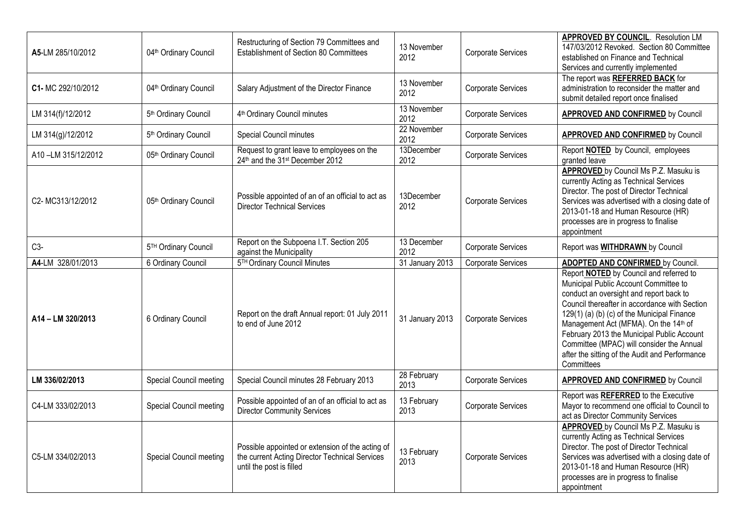| A5-LM 285/10/2012  | 04 <sup>th</sup> Ordinary Council | Restructuring of Section 79 Committees and<br>Establishment of Section 80 Committees                                           | 13 November<br>2012 | Corporate Services | <b>APPROVED BY COUNCIL. Resolution LM</b><br>147/03/2012 Revoked. Section 80 Committee<br>established on Finance and Technical<br>Services and currently implemented                                                                                                                                                                                                                                                                               |
|--------------------|-----------------------------------|--------------------------------------------------------------------------------------------------------------------------------|---------------------|--------------------|----------------------------------------------------------------------------------------------------------------------------------------------------------------------------------------------------------------------------------------------------------------------------------------------------------------------------------------------------------------------------------------------------------------------------------------------------|
| C1- MC 292/10/2012 | 04 <sup>th</sup> Ordinary Council | Salary Adjustment of the Director Finance                                                                                      | 13 November<br>2012 | Corporate Services | The report was REFERRED BACK for<br>administration to reconsider the matter and<br>submit detailed report once finalised                                                                                                                                                                                                                                                                                                                           |
| LM 314(f)/12/2012  | 5 <sup>th</sup> Ordinary Council  | 4 <sup>th</sup> Ordinary Council minutes                                                                                       | 13 November<br>2012 | Corporate Services | <b>APPROVED AND CONFIRMED</b> by Council                                                                                                                                                                                                                                                                                                                                                                                                           |
| LM 314(g)/12/2012  | 5 <sup>th</sup> Ordinary Council  | Special Council minutes                                                                                                        | 22 November<br>2012 | Corporate Services | <b>APPROVED AND CONFIRMED</b> by Council                                                                                                                                                                                                                                                                                                                                                                                                           |
| A10-LM 315/12/2012 | 05th Ordinary Council             | Request to grant leave to employees on the<br>24th and the 31st December 2012                                                  | 13December<br>2012  | Corporate Services | Report <b>NOTED</b> by Council, employees<br>granted leave                                                                                                                                                                                                                                                                                                                                                                                         |
| C2-MC313/12/2012   | 05th Ordinary Council             | Possible appointed of an of an official to act as<br><b>Director Technical Services</b>                                        | 13December<br>2012  | Corporate Services | APPROVED by Council Ms P.Z. Masuku is<br>currently Acting as Technical Services<br>Director. The post of Director Technical<br>Services was advertised with a closing date of<br>2013-01-18 and Human Resource (HR)<br>processes are in progress to finalise<br>appointment                                                                                                                                                                        |
| $C3-$              | 5TH Ordinary Council              | Report on the Subpoena I.T. Section 205<br>against the Municipality                                                            | 13 December<br>2012 | Corporate Services | Report was <b>WITHDRAWN</b> by Council                                                                                                                                                                                                                                                                                                                                                                                                             |
| A4-LM 328/01/2013  | 6 Ordinary Council                | 5TH Ordinary Council Minutes                                                                                                   | 31 January 2013     | Corporate Services | <b>ADOPTED AND CONFIRMED by Council.</b>                                                                                                                                                                                                                                                                                                                                                                                                           |
| A14 - LM 320/2013  | 6 Ordinary Council                | Report on the draft Annual report: 01 July 2011<br>to end of June 2012                                                         | 31 January 2013     | Corporate Services | Report <b>NOTED</b> by Council and referred to<br>Municipal Public Account Committee to<br>conduct an oversight and report back to<br>Council thereafter in accordance with Section<br>129(1) (a) (b) (c) of the Municipal Finance<br>Management Act (MFMA). On the 14 <sup>th</sup> of<br>February 2013 the Municipal Public Account<br>Committee (MPAC) will consider the Annual<br>after the sitting of the Audit and Performance<br>Committees |
| LM 336/02/2013     | Special Council meeting           | Special Council minutes 28 February 2013                                                                                       | 28 February<br>2013 | Corporate Services | <b>APPROVED AND CONFIRMED by Council</b>                                                                                                                                                                                                                                                                                                                                                                                                           |
| C4-LM 333/02/2013  | Special Council meeting           | Possible appointed of an of an official to act as<br><b>Director Community Services</b>                                        | 13 February<br>2013 | Corporate Services | Report was REFERRED to the Executive<br>Mayor to recommend one official to Council to<br>act as Director Community Services                                                                                                                                                                                                                                                                                                                        |
| C5-LM 334/02/2013  | Special Council meeting           | Possible appointed or extension of the acting of<br>the current Acting Director Technical Services<br>until the post is filled | 13 February<br>2013 | Corporate Services | APPROVED by Council Ms P.Z. Masuku is<br>currently Acting as Technical Services<br>Director. The post of Director Technical<br>Services was advertised with a closing date of<br>2013-01-18 and Human Resource (HR)<br>processes are in progress to finalise<br>appointment                                                                                                                                                                        |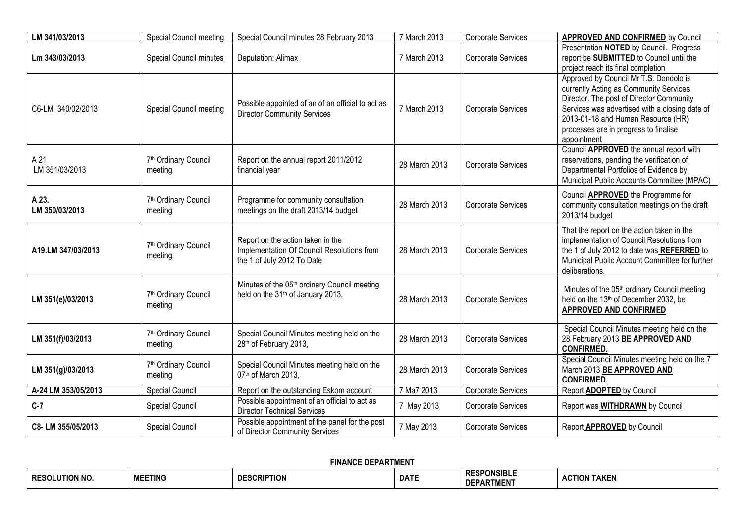| LM 341/03/2013          | Special Council meeting                     | Special Council minutes 28 February 2013                                                                      | 7 March 2013  | Corporate Services        | <b>APPROVED AND CONFIRMED by Council</b>                                                                                                                                                                                                                                     |
|-------------------------|---------------------------------------------|---------------------------------------------------------------------------------------------------------------|---------------|---------------------------|------------------------------------------------------------------------------------------------------------------------------------------------------------------------------------------------------------------------------------------------------------------------------|
| Lm 343/03/2013          | <b>Special Council minutes</b>              | Deputation: Alimax                                                                                            | 7 March 2013  | Corporate Services        | Presentation NOTED by Council. Progress<br>report be SUBMITTED to Council until the<br>project reach its final completion                                                                                                                                                    |
| C6-LM 340/02/2013       | Special Council meeting                     | Possible appointed of an of an official to act as<br><b>Director Community Services</b>                       | 7 March 2013  | Corporate Services        | Approved by Council Mr T.S. Dondolo is<br>currently Acting as Community Services<br>Director. The post of Director Community<br>Services was advertised with a closing date of<br>2013-01-18 and Human Resource (HR)<br>processes are in progress to finalise<br>appointment |
| A 21<br>LM 351/03/2013  | 7 <sup>th</sup> Ordinary Council<br>meeting | Report on the annual report 2011/2012<br>financial year                                                       | 28 March 2013 | Corporate Services        | Council <b>APPROVED</b> the annual report with<br>reservations, pending the verification of<br>Departmental Portfolios of Evidence by<br>Municipal Public Accounts Committee (MPAC)                                                                                          |
| A 23.<br>LM 350/03/2013 | 7 <sup>th</sup> Ordinary Council<br>meeting | Programme for community consultation<br>meetings on the draft 2013/14 budget                                  | 28 March 2013 | Corporate Services        | Council <b>APPROVED</b> the Programme for<br>community consultation meetings on the draft<br>2013/14 budget                                                                                                                                                                  |
| A19.LM 347/03/2013      | 7 <sup>th</sup> Ordinary Council<br>meeting | Report on the action taken in the<br>Implementation Of Council Resolutions from<br>the 1 of July 2012 To Date | 28 March 2013 | Corporate Services        | That the report on the action taken in the<br>implementation of Council Resolutions from<br>the 1 of July 2012 to date was REFERRED to<br>Municipal Public Account Committee for further<br>deliberations.                                                                   |
| LM 351(e)/03/2013       | 7 <sup>th</sup> Ordinary Council<br>meeting | Minutes of the 05th ordinary Council meeting<br>held on the 31 <sup>th</sup> of January 2013,                 | 28 March 2013 | Corporate Services        | Minutes of the 05 <sup>th</sup> ordinary Council meeting<br>held on the 13 <sup>th</sup> of December 2032, be<br><b>APPROVED AND CONFIRMED</b>                                                                                                                               |
| LM 351(f)/03/2013       | 7 <sup>th</sup> Ordinary Council<br>meeting | Special Council Minutes meeting held on the<br>28th of February 2013,                                         | 28 March 2013 | Corporate Services        | Special Council Minutes meeting held on the<br>28 February 2013 BE APPROVED AND<br><b>CONFIRMED.</b>                                                                                                                                                                         |
| LM 351(g)/03/2013       | 7 <sup>th</sup> Ordinary Council<br>meeting | Special Council Minutes meeting held on the<br>07th of March 2013,                                            | 28 March 2013 | Corporate Services        | Special Council Minutes meeting held on the 7<br>March 2013 BE APPROVED AND<br><b>CONFIRMED.</b>                                                                                                                                                                             |
| A-24 LM 353/05/2013     | <b>Special Council</b>                      | Report on the outstanding Eskom account                                                                       | 7 Ma7 2013    | <b>Corporate Services</b> | Report <b>ADOPTED</b> by Council                                                                                                                                                                                                                                             |
| $C-7$                   | Special Council                             | Possible appointment of an official to act as<br><b>Director Technical Services</b>                           | 7 May 2013    | Corporate Services        | Report was WITHDRAWN by Council                                                                                                                                                                                                                                              |
| C8-LM 355/05/2013       | Special Council                             | Possible appointment of the panel for the post<br>of Director Community Services                              | 7 May 2013    | Corporate Services        | Report APPROVED by Council                                                                                                                                                                                                                                                   |

|                                 |                | <b>FINANCE DEPAK</b><br><b>PARIMEN</b> | <u>LA DTALELIT</u> |                                         |                                               |
|---------------------------------|----------------|----------------------------------------|--------------------|-----------------------------------------|-----------------------------------------------|
| <b>ITION NO</b><br><b>RESOL</b> | <b>MEETING</b> | <b>DESCRIPTION</b>                     | <b>DATE</b>        | <b>RESPONSIBLE</b><br><b>DEPARTMENT</b> | $/10N$ $^7$<br>TAKEN<br>$\Lambda$ $\sim$<br>∼ |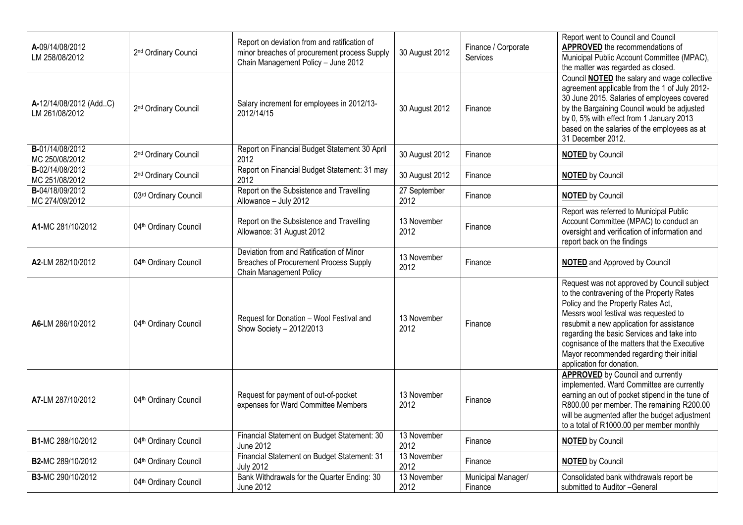| A-09/14/08/2012<br>LM 258/08/2012        | 2 <sup>nd</sup> Ordinary Counci   | Report on deviation from and ratification of<br>minor breaches of procurement process Supply<br>Chain Management Policy - June 2012 | 30 August 2012       | Finance / Corporate<br>Services | Report went to Council and Council<br>APPROVED the recommendations of<br>Municipal Public Account Committee (MPAC),<br>the matter was regarded as closed.                                                                                                                                                                                                                                    |
|------------------------------------------|-----------------------------------|-------------------------------------------------------------------------------------------------------------------------------------|----------------------|---------------------------------|----------------------------------------------------------------------------------------------------------------------------------------------------------------------------------------------------------------------------------------------------------------------------------------------------------------------------------------------------------------------------------------------|
| A-12/14/08/2012 (AddC)<br>LM 261/08/2012 | 2 <sup>nd</sup> Ordinary Council  | Salary increment for employees in 2012/13-<br>2012/14/15                                                                            | 30 August 2012       | Finance                         | Council <b>NOTED</b> the salary and wage collective<br>agreement applicable from the 1 of July 2012-<br>30 June 2015. Salaries of employees covered<br>by the Bargaining Council would be adjusted<br>by 0, 5% with effect from 1 January 2013<br>based on the salaries of the employees as at<br>31 December 2012.                                                                          |
| B-01/14/08/2012<br>MC 250/08/2012        | 2 <sup>nd</sup> Ordinary Council  | Report on Financial Budget Statement 30 April<br>2012                                                                               | 30 August 2012       | Finance                         | <b>NOTED</b> by Council                                                                                                                                                                                                                                                                                                                                                                      |
| B-02/14/08/2012<br>MC 251/08/2012        | 2 <sup>nd</sup> Ordinary Council  | Report on Financial Budget Statement: 31 may<br>2012                                                                                | 30 August 2012       | Finance                         | <b>NOTED by Council</b>                                                                                                                                                                                                                                                                                                                                                                      |
| B-04/18/09/2012<br>MC 274/09/2012        | 03rd Ordinary Council             | Report on the Subsistence and Travelling<br>Allowance - July 2012                                                                   | 27 September<br>2012 | Finance                         | <b>NOTED</b> by Council                                                                                                                                                                                                                                                                                                                                                                      |
| A1-MC 281/10/2012                        | 04 <sup>th</sup> Ordinary Council | Report on the Subsistence and Travelling<br>Allowance: 31 August 2012                                                               | 13 November<br>2012  | Finance                         | Report was referred to Municipal Public<br>Account Committee (MPAC) to conduct an<br>oversight and verification of information and<br>report back on the findings                                                                                                                                                                                                                            |
| A2-LM 282/10/2012                        | 04 <sup>th</sup> Ordinary Council | Deviation from and Ratification of Minor<br><b>Breaches of Procurement Process Supply</b><br><b>Chain Management Policy</b>         | 13 November<br>2012  | Finance                         | <b>NOTED</b> and Approved by Council                                                                                                                                                                                                                                                                                                                                                         |
| A6-LM 286/10/2012                        | 04th Ordinary Council             | Request for Donation - Wool Festival and<br>Show Society - 2012/2013                                                                | 13 November<br>2012  | Finance                         | Request was not approved by Council subject<br>to the contravening of the Property Rates<br>Policy and the Property Rates Act,<br>Messrs wool festival was requested to<br>resubmit a new application for assistance<br>regarding the basic Services and take into<br>cognisance of the matters that the Executive<br>Mayor recommended regarding their initial<br>application for donation. |
| A7-LM 287/10/2012                        | 04 <sup>th</sup> Ordinary Council | Request for payment of out-of-pocket<br>expenses for Ward Committee Members                                                         | 13 November<br>2012  | Finance                         | <b>APPROVED</b> by Council and currently<br>implemented. Ward Committee are currently<br>earning an out of pocket stipend in the tune of<br>R800.00 per member. The remaining R200.00<br>will be augmented after the budget adjustment<br>to a total of R1000.00 per member monthly                                                                                                          |
| B1-MC 288/10/2012                        | 04th Ordinary Council             | Financial Statement on Budget Statement: 30<br><b>June 2012</b>                                                                     | 13 November<br>2012  | Finance                         | <b>NOTED by Council</b>                                                                                                                                                                                                                                                                                                                                                                      |
| B2-MC 289/10/2012                        | 04 <sup>th</sup> Ordinary Council | Financial Statement on Budget Statement: 31<br><b>July 2012</b>                                                                     | 13 November<br>2012  | Finance                         | <b>NOTED</b> by Council                                                                                                                                                                                                                                                                                                                                                                      |
| B3-MC 290/10/2012                        | 04 <sup>th</sup> Ordinary Council | Bank Withdrawals for the Quarter Ending: 30<br>June 2012                                                                            | 13 November<br>2012  | Municipal Manager/<br>Finance   | Consolidated bank withdrawals report be<br>submitted to Auditor -General                                                                                                                                                                                                                                                                                                                     |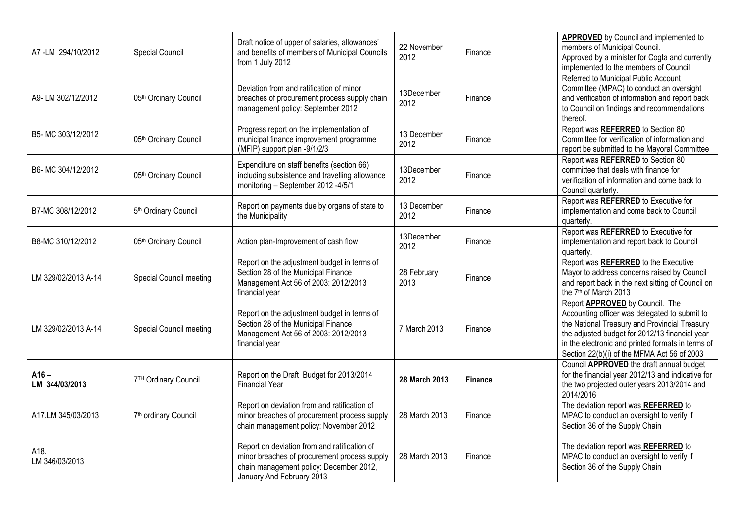| A7-LM 294/10/2012         | Special Council                  | Draft notice of upper of salaries, allowances'<br>and benefits of members of Municipal Councils<br>from 1 July 2012                                                  | 22 November<br>2012 | Finance        | <b>APPROVED</b> by Council and implemented to<br>members of Municipal Council.<br>Approved by a minister for Cogta and currently<br>implemented to the members of Council                                                                                                               |
|---------------------------|----------------------------------|----------------------------------------------------------------------------------------------------------------------------------------------------------------------|---------------------|----------------|-----------------------------------------------------------------------------------------------------------------------------------------------------------------------------------------------------------------------------------------------------------------------------------------|
| A9-LM 302/12/2012         | 05th Ordinary Council            | Deviation from and ratification of minor<br>breaches of procurement process supply chain<br>management policy: September 2012                                        | 13December<br>2012  | Finance        | Referred to Municipal Public Account<br>Committee (MPAC) to conduct an oversight<br>and verification of information and report back<br>to Council on findings and recommendations<br>thereof.                                                                                           |
| B5- MC 303/12/2012        | 05th Ordinary Council            | Progress report on the implementation of<br>municipal finance improvement programme<br>(MFIP) support plan -9/1/2/3                                                  | 13 December<br>2012 | Finance        | Report was REFERRED to Section 80<br>Committee for verification of information and<br>report be submitted to the Mayoral Committee                                                                                                                                                      |
| B6- MC 304/12/2012        | 05th Ordinary Council            | Expenditure on staff benefits (section 66)<br>including subsistence and travelling allowance<br>monitoring - September 2012 -4/5/1                                   | 13December<br>2012  | Finance        | Report was REFERRED to Section 80<br>committee that deals with finance for<br>verification of information and come back to<br>Council quarterly.                                                                                                                                        |
| B7-MC 308/12/2012         | 5 <sup>th</sup> Ordinary Council | Report on payments due by organs of state to<br>the Municipality                                                                                                     | 13 December<br>2012 | Finance        | Report was REFERRED to Executive for<br>implementation and come back to Council<br>quarterly.                                                                                                                                                                                           |
| B8-MC 310/12/2012         | 05th Ordinary Council            | Action plan-Improvement of cash flow                                                                                                                                 | 13December<br>2012  | Finance        | Report was REFERRED to Executive for<br>implementation and report back to Council<br>quarterly.                                                                                                                                                                                         |
| LM 329/02/2013 A-14       | Special Council meeting          | Report on the adjustment budget in terms of<br>Section 28 of the Municipal Finance<br>Management Act 56 of 2003: 2012/2013<br>financial year                         | 28 February<br>2013 | Finance        | Report was REFERRED to the Executive<br>Mayor to address concerns raised by Council<br>and report back in the next sitting of Council on<br>the 7 <sup>th</sup> of March 2013                                                                                                           |
| LM 329/02/2013 A-14       | Special Council meeting          | Report on the adjustment budget in terms of<br>Section 28 of the Municipal Finance<br>Management Act 56 of 2003: 2012/2013<br>financial year                         | 7 March 2013        | Finance        | Report APPROVED by Council. The<br>Accounting officer was delegated to submit to<br>the National Treasury and Provincial Treasury<br>the adjusted budget for 2012/13 financial year<br>in the electronic and printed formats in terms of<br>Section 22(b)(i) of the MFMA Act 56 of 2003 |
| $A16 -$<br>LM 344/03/2013 | 7TH Ordinary Council             | Report on the Draft Budget for 2013/2014<br><b>Financial Year</b>                                                                                                    | 28 March 2013       | <b>Finance</b> | Council APPROVED the draft annual budget<br>for the financial year 2012/13 and indicative for<br>the two projected outer years 2013/2014 and<br>2014/2016                                                                                                                               |
| A17.LM 345/03/2013        | 7 <sup>th</sup> ordinary Council | Report on deviation from and ratification of<br>minor breaches of procurement process supply<br>chain management policy: November 2012                               | 28 March 2013       | Finance        | The deviation report was REFERRED to<br>MPAC to conduct an oversight to verify if<br>Section 36 of the Supply Chain                                                                                                                                                                     |
| A18.<br>LM 346/03/2013    |                                  | Report on deviation from and ratification of<br>minor breaches of procurement process supply<br>chain management policy: December 2012,<br>January And February 2013 | 28 March 2013       | Finance        | The deviation report was REFERRED to<br>MPAC to conduct an oversight to verify if<br>Section 36 of the Supply Chain                                                                                                                                                                     |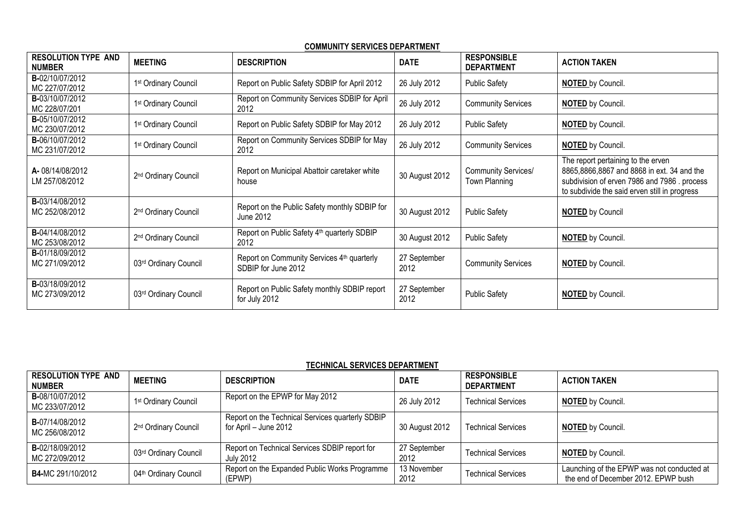|--|

| <b>RESOLUTION TYPE AND</b><br><b>NUMBER</b> | <b>MEETING</b>                   | <b>DESCRIPTION</b>                                                | <b>DATE</b>          | <b>RESPONSIBLE</b><br><b>DEPARTMENT</b>     | <b>ACTION TAKEN</b>                                                                                                                                                              |
|---------------------------------------------|----------------------------------|-------------------------------------------------------------------|----------------------|---------------------------------------------|----------------------------------------------------------------------------------------------------------------------------------------------------------------------------------|
| B-02/10/07/2012<br>MC 227/07/2012           | 1 <sup>st</sup> Ordinary Council | Report on Public Safety SDBIP for April 2012                      | 26 July 2012         | <b>Public Safety</b>                        | NOTED by Council.                                                                                                                                                                |
| B-03/10/07/2012<br>MC 228/07/201            | 1st Ordinary Council             | Report on Community Services SDBIP for April<br>2012              | 26 July 2012         | <b>Community Services</b>                   | NOTED by Council.                                                                                                                                                                |
| B-05/10/07/2012<br>MC 230/07/2012           | 1 <sup>st</sup> Ordinary Council | Report on Public Safety SDBIP for May 2012                        | 26 July 2012         | <b>Public Safety</b>                        | NOTED by Council.                                                                                                                                                                |
| B-06/10/07/2012<br>MC 231/07/2012           | 1 <sup>st</sup> Ordinary Council | Report on Community Services SDBIP for May<br>2012                | 26 July 2012         | <b>Community Services</b>                   | <b>NOTED</b> by Council.                                                                                                                                                         |
| A-08/14/08/2012<br>LM 257/08/2012           | 2 <sup>nd</sup> Ordinary Council | Report on Municipal Abattoir caretaker white<br>house             | 30 August 2012       | <b>Community Services/</b><br>Town Planning | The report pertaining to the erven<br>8865,8866,8867 and 8868 in ext. 34 and the<br>subdivision of erven 7986 and 7986. process<br>to subdivide the said erven still in progress |
| B-03/14/08/2012<br>MC 252/08/2012           | 2 <sup>nd</sup> Ordinary Council | Report on the Public Safety monthly SDBIP for<br>June 2012        | 30 August 2012       | <b>Public Safety</b>                        | <b>NOTED</b> by Council                                                                                                                                                          |
| B-04/14/08/2012<br>MC 253/08/2012           | 2 <sup>nd</sup> Ordinary Council | Report on Public Safety 4 <sup>th</sup> quarterly SDBIP<br>2012   | 30 August 2012       | <b>Public Safety</b>                        | NOTED by Council.                                                                                                                                                                |
| B-01/18/09/2012<br>MC 271/09/2012           | 03rd Ordinary Council            | Report on Community Services 4th quarterly<br>SDBIP for June 2012 | 27 September<br>2012 | <b>Community Services</b>                   | <b>NOTED</b> by Council.                                                                                                                                                         |
| <b>B-</b> 03/18/09/2012<br>MC 273/09/2012   | 03rd Ordinary Council            | Report on Public Safety monthly SDBIP report<br>for July 2012     | 27 September<br>2012 | <b>Public Safety</b>                        | <b>NOTED</b> by Council.                                                                                                                                                         |

## **TECHNICAL SERVICES DEPARTMENT**

| <b>RESOLUTION TYPE AND</b><br><b>NUMBER</b> | <b>MEETING</b>                    | <b>DESCRIPTION</b>                                                        | <b>DATE</b>          | <b>RESPONSIBLE</b><br><b>DEPARTMENT</b> | <b>ACTION TAKEN</b>                                                               |
|---------------------------------------------|-----------------------------------|---------------------------------------------------------------------------|----------------------|-----------------------------------------|-----------------------------------------------------------------------------------|
| B-08/10/07/2012<br>MC 233/07/2012           | 1 <sup>st</sup> Ordinary Council  | Report on the EPWP for May 2012                                           | 26 July 2012         | <b>Technical Services</b>               | <b>NOTED</b> by Council.                                                          |
| <b>B-</b> 07/14/08/2012<br>MC 256/08/2012   | 2 <sup>nd</sup> Ordinary Council  | Report on the Technical Services quarterly SDBIP<br>for April - June 2012 | 30 August 2012       | <b>Technical Services</b>               | <b>NOTED by Council.</b>                                                          |
| <b>B-</b> 02/18/09/2012<br>MC 272/09/2012   | 03rd Ordinary Council             | Report on Technical Services SDBIP report for<br><b>July 2012</b>         | 27 September<br>2012 | <b>Technical Services</b>               | <b>NOTED</b> by Council.                                                          |
| B4-MC 291/10/2012                           | 04 <sup>th</sup> Ordinary Council | Report on the Expanded Public Works Programme<br>(EPWP)                   | 13 November<br>2012  | <b>Technical Services</b>               | Launching of the EPWP was not conducted at<br>the end of December 2012. EPWP bush |